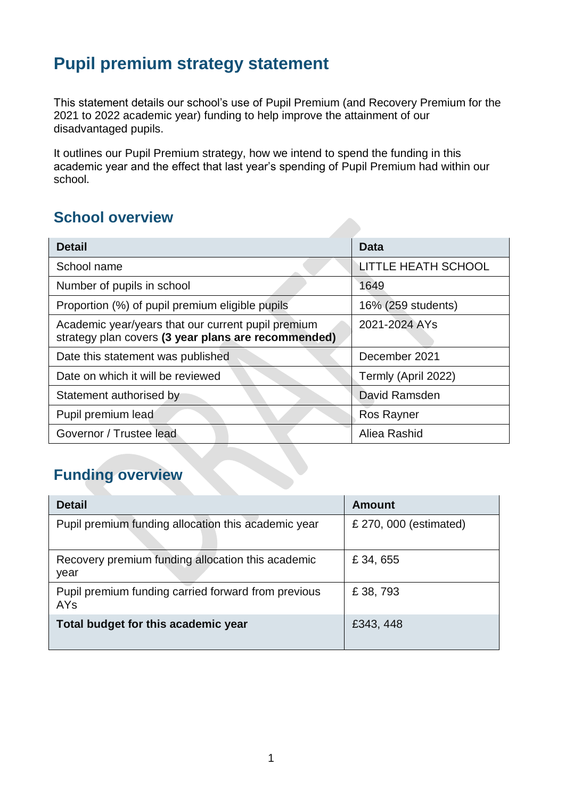## **Pupil premium strategy statement**

This statement details our school's use of Pupil Premium (and Recovery Premium for the 2021 to 2022 academic year) funding to help improve the attainment of our disadvantaged pupils.

It outlines our Pupil Premium strategy, how we intend to spend the funding in this academic year and the effect that last year's spending of Pupil Premium had within our school.

### **School overview**

| <b>Detail</b>                                                                                             | Data                       |
|-----------------------------------------------------------------------------------------------------------|----------------------------|
| School name                                                                                               | <b>LITTLE HEATH SCHOOL</b> |
| Number of pupils in school                                                                                | 1649                       |
| Proportion (%) of pupil premium eligible pupils                                                           | 16% (259 students)         |
| Academic year/years that our current pupil premium<br>strategy plan covers (3 year plans are recommended) | 2021-2024 AYs              |
| Date this statement was published                                                                         | December 2021              |
| Date on which it will be reviewed                                                                         | Termly (April 2022)        |
| Statement authorised by                                                                                   | David Ramsden              |
| Pupil premium lead                                                                                        | <b>Ros Rayner</b>          |
| Governor / Trustee lead                                                                                   | Aliea Rashid               |

## **Funding overview**

| <b>Detail</b>                                                     | <b>Amount</b>          |
|-------------------------------------------------------------------|------------------------|
| Pupil premium funding allocation this academic year               | £ 270, 000 (estimated) |
| Recovery premium funding allocation this academic<br>year         | £ 34, 655              |
| Pupil premium funding carried forward from previous<br><b>AYs</b> | £ 38, 793              |
| Total budget for this academic year                               | £343, 448              |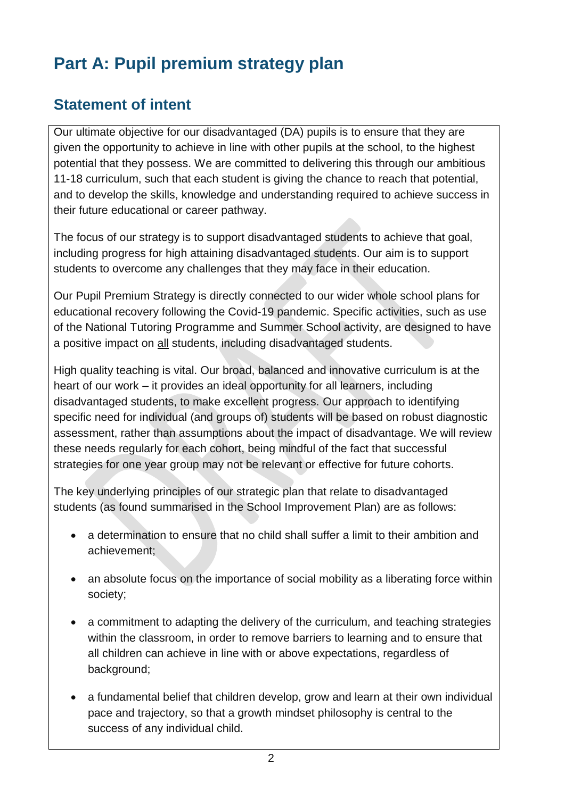# **Part A: Pupil premium strategy plan**

## **Statement of intent**

Our ultimate objective for our disadvantaged (DA) pupils is to ensure that they are given the opportunity to achieve in line with other pupils at the school, to the highest potential that they possess. We are committed to delivering this through our ambitious 11-18 curriculum, such that each student is giving the chance to reach that potential, and to develop the skills, knowledge and understanding required to achieve success in their future educational or career pathway.

The focus of our strategy is to support disadvantaged students to achieve that goal, including progress for high attaining disadvantaged students. Our aim is to support students to overcome any challenges that they may face in their education.

Our Pupil Premium Strategy is directly connected to our wider whole school plans for educational recovery following the Covid-19 pandemic. Specific activities, such as use of the National Tutoring Programme and Summer School activity, are designed to have a positive impact on all students, including disadvantaged students.

High quality teaching is vital. Our broad, balanced and innovative curriculum is at the heart of our work – it provides an ideal opportunity for all learners, including disadvantaged students, to make excellent progress. Our approach to identifying specific need for individual (and groups of) students will be based on robust diagnostic assessment, rather than assumptions about the impact of disadvantage. We will review these needs regularly for each cohort, being mindful of the fact that successful strategies for one year group may not be relevant or effective for future cohorts.

The key underlying principles of our strategic plan that relate to disadvantaged students (as found summarised in the School Improvement Plan) are as follows:

- a determination to ensure that no child shall suffer a limit to their ambition and achievement;
- an absolute focus on the importance of social mobility as a liberating force within society;
- a commitment to adapting the delivery of the curriculum, and teaching strategies within the classroom, in order to remove barriers to learning and to ensure that all children can achieve in line with or above expectations, regardless of background;
- a fundamental belief that children develop, grow and learn at their own individual pace and trajectory, so that a growth mindset philosophy is central to the success of any individual child.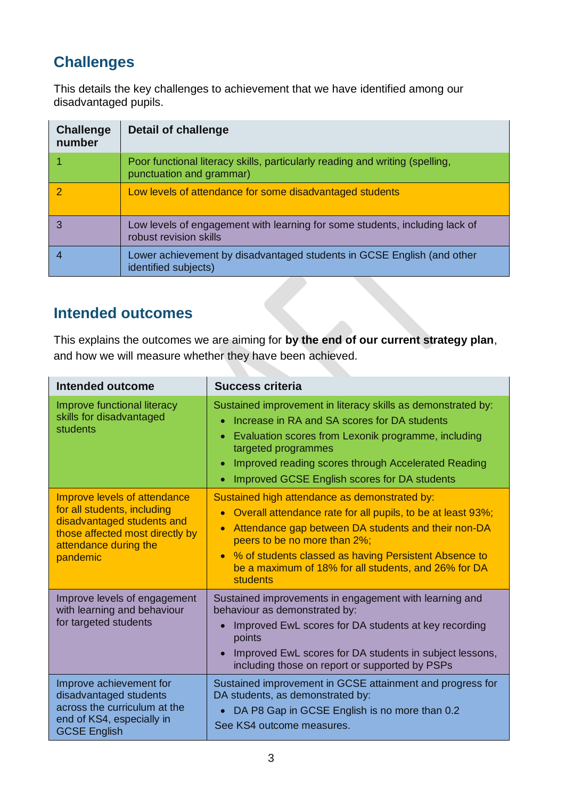## **Challenges**

This details the key challenges to achievement that we have identified among our disadvantaged pupils.

| <b>Challenge</b><br>number | Detail of challenge                                                                                      |
|----------------------------|----------------------------------------------------------------------------------------------------------|
|                            | Poor functional literacy skills, particularly reading and writing (spelling,<br>punctuation and grammar) |
| 2                          | Low levels of attendance for some disadvantaged students                                                 |
|                            | Low levels of engagement with learning for some students, including lack of<br>robust revision skills    |
|                            | Lower achievement by disadvantaged students in GCSE English (and other<br>identified subjects)           |

### **Intended outcomes**

This explains the outcomes we are aiming for **by the end of our current strategy plan**, and how we will measure whether they have been achieved.

| Intended outcome                                                                                                                                                  | <b>Success criteria</b>                                                                                                                                                                                                                                                                                                                 |
|-------------------------------------------------------------------------------------------------------------------------------------------------------------------|-----------------------------------------------------------------------------------------------------------------------------------------------------------------------------------------------------------------------------------------------------------------------------------------------------------------------------------------|
| Improve functional literacy<br>skills for disadvantaged<br>students                                                                                               | Sustained improvement in literacy skills as demonstrated by:<br>Increase in RA and SA scores for DA students<br>Evaluation scores from Lexonik programme, including<br>targeted programmes<br>Improved reading scores through Accelerated Reading<br>Improved GCSE English scores for DA students                                       |
| Improve levels of attendance<br>for all students, including<br>disadvantaged students and<br>those affected most directly by<br>attendance during the<br>pandemic | Sustained high attendance as demonstrated by:<br>Overall attendance rate for all pupils, to be at least 93%;<br>Attendance gap between DA students and their non-DA<br>peers to be no more than 2%;<br>% of students classed as having Persistent Absence to<br>be a maximum of 18% for all students, and 26% for DA<br><b>students</b> |
| Improve levels of engagement<br>with learning and behaviour<br>for targeted students                                                                              | Sustained improvements in engagement with learning and<br>behaviour as demonstrated by:<br>Improved EwL scores for DA students at key recording<br>points<br>Improved EwL scores for DA students in subject lessons,<br>including those on report or supported by PSPs                                                                  |
| Improve achievement for<br>disadvantaged students<br>across the curriculum at the<br>end of KS4, especially in<br><b>GCSE English</b>                             | Sustained improvement in GCSE attainment and progress for<br>DA students, as demonstrated by:<br>DA P8 Gap in GCSE English is no more than 0.2<br>$\bullet$<br>See KS4 outcome measures.                                                                                                                                                |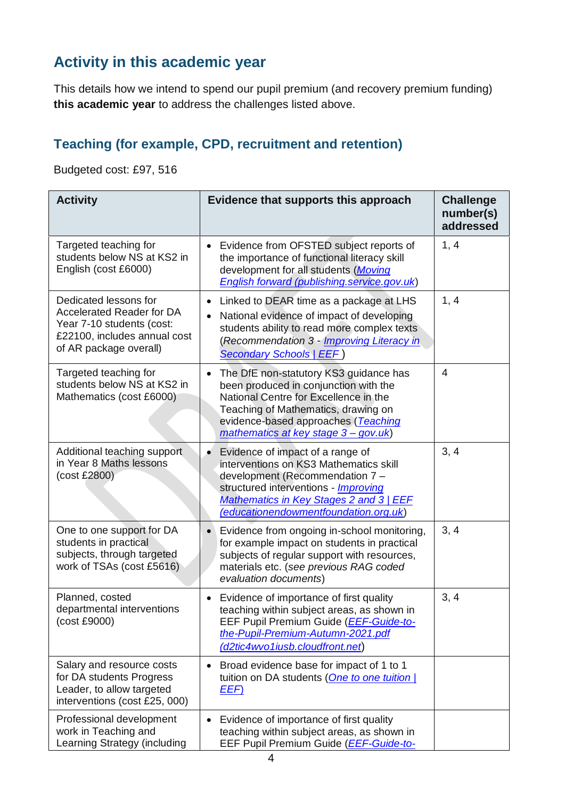## **Activity in this academic year**

This details how we intend to spend our pupil premium (and recovery premium funding) **this academic year** to address the challenges listed above.

#### **Teaching (for example, CPD, recruitment and retention)**

Budgeted cost: £97, 516

| <b>Activity</b>                                                                                                                                  | Evidence that supports this approach                                                                                                                                                                                                                          | <b>Challenge</b><br>number(s)<br>addressed |
|--------------------------------------------------------------------------------------------------------------------------------------------------|---------------------------------------------------------------------------------------------------------------------------------------------------------------------------------------------------------------------------------------------------------------|--------------------------------------------|
| Targeted teaching for<br>students below NS at KS2 in<br>English (cost £6000)                                                                     | Evidence from OFSTED subject reports of<br>the importance of functional literacy skill<br>development for all students (Moving<br>English forward (publishing.service.gov.uk)                                                                                 | 1, 4                                       |
| Dedicated lessons for<br><b>Accelerated Reader for DA</b><br>Year 7-10 students (cost:<br>£22100, includes annual cost<br>of AR package overall) | Linked to DEAR time as a package at LHS<br>$\bullet$<br>National evidence of impact of developing<br>$\bullet$<br>students ability to read more complex texts<br>(Recommendation 3 - <i>Improving Literacy in</i><br><b>Secondary Schools   EEF)</b>          | 1, 4                                       |
| Targeted teaching for<br>students below NS at KS2 in<br>Mathematics (cost £6000)                                                                 | The DfE non-statutory KS3 guidance has<br>been produced in conjunction with the<br>National Centre for Excellence in the<br>Teaching of Mathematics, drawing on<br>evidence-based approaches (Teaching<br>mathematics at key stage 3 - gov.uk)                | 4                                          |
| Additional teaching support<br>in Year 8 Maths lessons<br>(cost £2800)                                                                           | Evidence of impact of a range of<br>$\bullet$<br>interventions on KS3 Mathematics skill<br>development (Recommendation 7 -<br>structured interventions - <i>Improving</i><br>Mathematics in Key Stages 2 and 3   EEF<br>(educationendowmentfoundation.org.uk) | 3, 4                                       |
| One to one support for DA<br>students in practical<br>subjects, through targeted<br>work of TSAs (cost £5616)                                    | Evidence from ongoing in-school monitoring,<br>$\bullet$<br>for example impact on students in practical<br>subjects of regular support with resources,<br>materials etc. (see previous RAG coded<br>evaluation documents)                                     | 3, 4                                       |
| Planned, costed<br>departmental interventions<br>(cost £9000)                                                                                    | Evidence of importance of first quality<br>teaching within subject areas, as shown in<br>EEF Pupil Premium Guide (EEF-Guide-to-<br>the-Pupil-Premium-Autumn-2021.pdf<br>(d2tic4wvo1iusb.cloudfront.net)                                                       | 3, 4                                       |
| Salary and resource costs<br>for DA students Progress<br>Leader, to allow targeted<br>interventions (cost £25, 000)                              | Broad evidence base for impact of 1 to 1<br>tuition on DA students (One to one tuition  <br><u>EEF)</u>                                                                                                                                                       |                                            |
| Professional development<br>work in Teaching and<br>Learning Strategy (including                                                                 | Evidence of importance of first quality<br>$\bullet$<br>teaching within subject areas, as shown in<br>EEF Pupil Premium Guide ( <i>EEF-Guide-to-</i>                                                                                                          |                                            |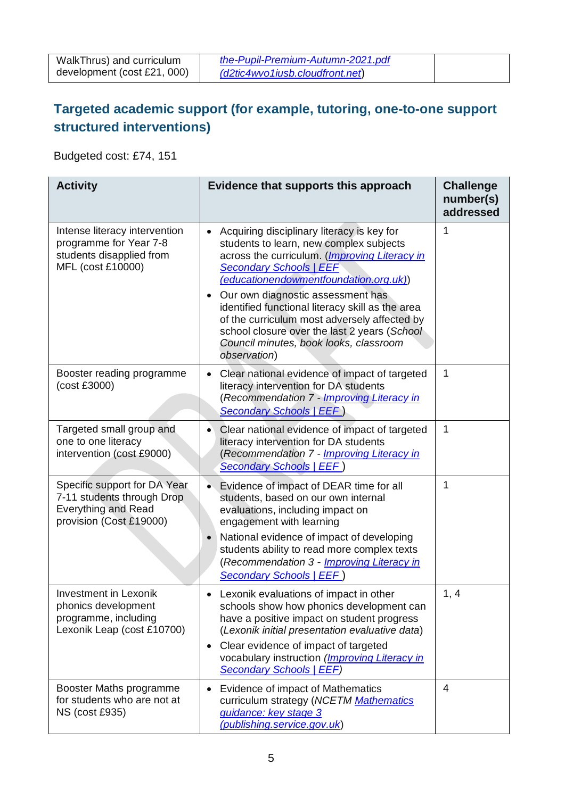Budgeted cost: £74, 151

| <b>Activity</b>                                                                                                     | Evidence that supports this approach                                                                                                                                                                                                                                                                                                                                                                                                                                  | <b>Challenge</b><br>number(s)<br>addressed |
|---------------------------------------------------------------------------------------------------------------------|-----------------------------------------------------------------------------------------------------------------------------------------------------------------------------------------------------------------------------------------------------------------------------------------------------------------------------------------------------------------------------------------------------------------------------------------------------------------------|--------------------------------------------|
| Intense literacy intervention<br>programme for Year 7-8<br>students disapplied from<br>MFL (cost £10000)            | Acquiring disciplinary literacy is key for<br>students to learn, new complex subjects<br>across the curriculum. (Improving Literacy in<br><b>Secondary Schools   EEF</b><br>(educationendowmentfoundation.org.uk))<br>Our own diagnostic assessment has<br>identified functional literacy skill as the area<br>of the curriculum most adversely affected by<br>school closure over the last 2 years (School<br>Council minutes, book looks, classroom<br>observation) | 1                                          |
| Booster reading programme<br>(cost £3000)                                                                           | Clear national evidence of impact of targeted<br>literacy intervention for DA students<br>(Recommendation 7 - Improving Literacy in<br><b>Secondary Schools   EEF)</b>                                                                                                                                                                                                                                                                                                | 1                                          |
| Targeted small group and<br>one to one literacy<br>intervention (cost £9000)                                        | Clear national evidence of impact of targeted<br>$\bullet$<br>literacy intervention for DA students<br>(Recommendation 7 - Improving Literacy in<br><b>Secondary Schools   EEF)</b>                                                                                                                                                                                                                                                                                   | 1                                          |
| Specific support for DA Year<br>7-11 students through Drop<br><b>Everything and Read</b><br>provision (Cost £19000) | Evidence of impact of DEAR time for all<br>students, based on our own internal<br>evaluations, including impact on<br>engagement with learning<br>National evidence of impact of developing<br>$\bullet$<br>students ability to read more complex texts<br>(Recommendation 3 - Improving Literacy in<br>Secondary Schools   EEF)                                                                                                                                      | 1                                          |
| <b>Investment in Lexonik</b><br>phonics development<br>programme, including<br>Lexonik Leap (cost £10700)           | Lexonik evaluations of impact in other<br>schools show how phonics development can<br>have a positive impact on student progress<br>(Lexonik initial presentation evaluative data)<br>Clear evidence of impact of targeted<br>$\bullet$<br>vocabulary instruction (Improving Literacy in<br><b>Secondary Schools   EEF)</b>                                                                                                                                           | 1, 4                                       |
| Booster Maths programme<br>for students who are not at<br><b>NS (cost £935)</b>                                     | Evidence of impact of Mathematics<br>curriculum strategy (NCETM Mathematics<br>guidance: key stage 3<br>(publishing.service.gov.uk)                                                                                                                                                                                                                                                                                                                                   | 4                                          |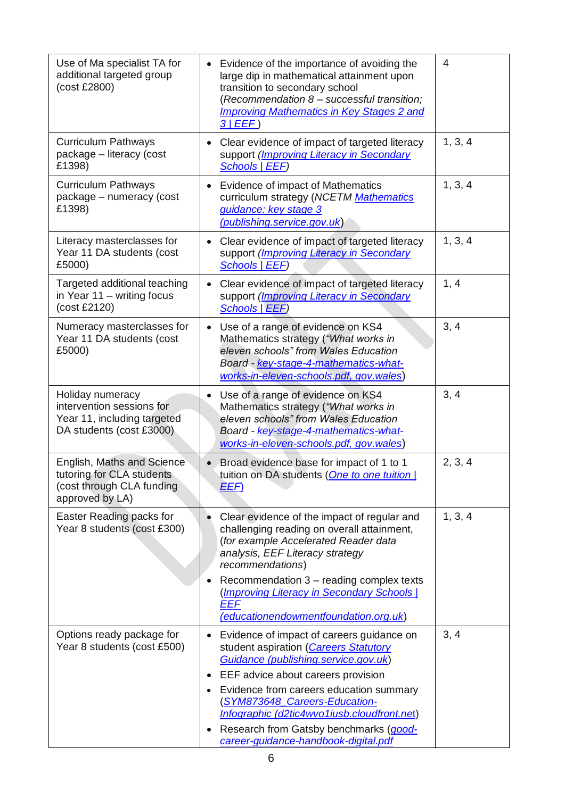| Use of Ma specialist TA for<br>additional targeted group<br>(cost £2800)                                 | Evidence of the importance of avoiding the<br>$\bullet$<br>large dip in mathematical attainment upon<br>transition to secondary school<br>(Recommendation 8 - successful transition;<br><b>Improving Mathematics in Key Stages 2 and</b><br>3 EEF)                                               | 4       |
|----------------------------------------------------------------------------------------------------------|--------------------------------------------------------------------------------------------------------------------------------------------------------------------------------------------------------------------------------------------------------------------------------------------------|---------|
| <b>Curriculum Pathways</b><br>package - literacy (cost<br>£1398)                                         | Clear evidence of impact of targeted literacy<br>$\bullet$<br>support (Improving Literacy in Secondary<br><b>Schools   EEF)</b>                                                                                                                                                                  | 1, 3, 4 |
| <b>Curriculum Pathways</b><br>package - numeracy (cost<br>£1398)                                         | Evidence of impact of Mathematics<br>$\bullet$<br>curriculum strategy (NCETM Mathematics<br>guidance: key stage 3<br>(publishing.service.gov.uk)                                                                                                                                                 | 1, 3, 4 |
| Literacy masterclasses for<br>Year 11 DA students (cost<br>£5000)                                        | Clear evidence of impact of targeted literacy<br>$\bullet$<br>support ( <i>Improving Literacy in Secondary</i><br>Schools   EEF)                                                                                                                                                                 | 1, 3, 4 |
| Targeted additional teaching<br>in Year 11 - writing focus<br>(cost £2120)                               | Clear evidence of impact of targeted literacy<br>$\bullet$<br>support (Improving Literacy in Secondary<br>Schools   EEF)                                                                                                                                                                         | 1, 4    |
| Numeracy masterclasses for<br>Year 11 DA students (cost<br>£5000)                                        | Use of a range of evidence on KS4<br>$\bullet$<br>Mathematics strategy ("What works in<br>eleven schools" from Wales Education<br>Board - key-stage-4-mathematics-what-<br>works-in-eleven-schools.pdf, gov.wales)                                                                               | 3, 4    |
| Holiday numeracy<br>intervention sessions for<br>Year 11, including targeted<br>DA students (cost £3000) | Use of a range of evidence on KS4<br>Mathematics strategy ("What works in<br>eleven schools" from Wales Education<br>Board - key-stage-4-mathematics-what-<br>works-in-eleven-schools.pdf, gov.wales)                                                                                            | 3, 4    |
| English, Maths and Science<br>tutoring for CLA students<br>(cost through CLA funding<br>approved by LA)  | Broad evidence base for impact of 1 to 1<br>tuition on DA students (One to one tuition)<br><u>EEF)</u>                                                                                                                                                                                           | 2, 3, 4 |
| Easter Reading packs for<br>Year 8 students (cost £300)                                                  | Clear evidence of the impact of regular and<br>challenging reading on overall attainment,<br>(for example Accelerated Reader data<br>analysis, EEF Literacy strategy<br>recommendations)<br>Recommendation 3 - reading complex texts<br>(Improving Literacy in Secondary Schools  <br><b>EEF</b> | 1, 3, 4 |
|                                                                                                          | (educationendowmentfoundation.org.uk)                                                                                                                                                                                                                                                            |         |
| Options ready package for<br>Year 8 students (cost £500)                                                 | Evidence of impact of careers guidance on<br>student aspiration (Careers Statutory<br>Guidance (publishing.service.gov.uk)                                                                                                                                                                       | 3, 4    |
|                                                                                                          | EEF advice about careers provision<br>$\bullet$                                                                                                                                                                                                                                                  |         |
|                                                                                                          | Evidence from careers education summary<br>(SYM873648_Careers-Education-<br>Infographic (d2tic4wvo1iusb.cloudfront.net)                                                                                                                                                                          |         |
|                                                                                                          | Research from Gatsby benchmarks (good-<br>career-guidance-handbook-digital.pdf                                                                                                                                                                                                                   |         |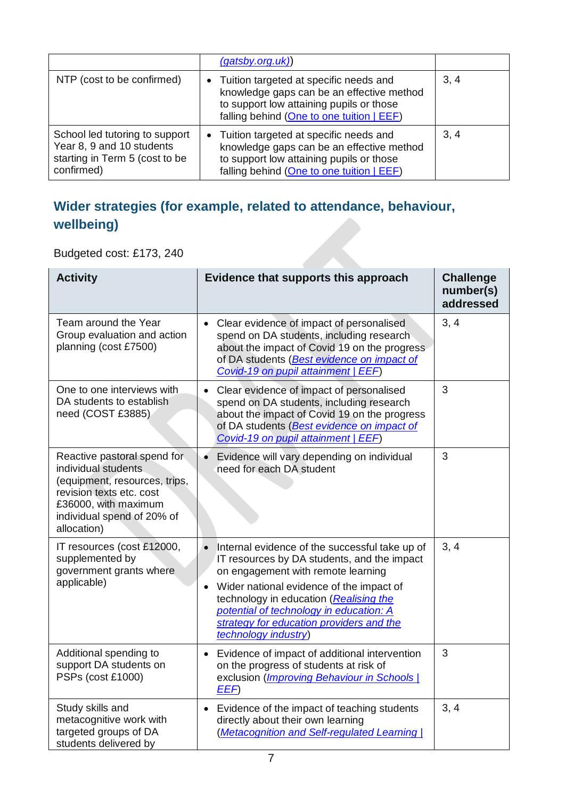|                                                                                                             | (gatsby.org.uk)                                                                                                                                                                |      |
|-------------------------------------------------------------------------------------------------------------|--------------------------------------------------------------------------------------------------------------------------------------------------------------------------------|------|
| NTP (cost to be confirmed)                                                                                  | • Tuition targeted at specific needs and<br>knowledge gaps can be an effective method<br>to support low attaining pupils or those<br>falling behind (One to one tuition   EEF) | 3, 4 |
| School led tutoring to support<br>Year 8, 9 and 10 students<br>starting in Term 5 (cost to be<br>confirmed) | • Tuition targeted at specific needs and<br>knowledge gaps can be an effective method<br>to support low attaining pupils or those<br>falling behind (One to one tuition   EEF) | 3, 4 |

#### **Wider strategies (for example, related to attendance, behaviour, wellbeing)**

Budgeted cost: £173, 240

| <b>Activity</b>                                                                                                                                                                      | Evidence that supports this approach                                                                                                                                                                                                                                                                                                                               | <b>Challenge</b><br>number(s)<br>addressed |
|--------------------------------------------------------------------------------------------------------------------------------------------------------------------------------------|--------------------------------------------------------------------------------------------------------------------------------------------------------------------------------------------------------------------------------------------------------------------------------------------------------------------------------------------------------------------|--------------------------------------------|
| Team around the Year<br>Group evaluation and action<br>planning (cost £7500)                                                                                                         | Clear evidence of impact of personalised<br>$\bullet$<br>spend on DA students, including research<br>about the impact of Covid 19 on the progress<br>of DA students (Best evidence on impact of<br>Covid-19 on pupil attainment   EEF)                                                                                                                             | 3, 4                                       |
| One to one interviews with<br>DA students to establish<br>need (COST £3885)                                                                                                          | Clear evidence of impact of personalised<br>$\bullet$<br>spend on DA students, including research<br>about the impact of Covid 19 on the progress<br>of DA students (Best evidence on impact of<br>Covid-19 on pupil attainment   EEF)                                                                                                                             | 3                                          |
| Reactive pastoral spend for<br>individual students<br>(equipment, resources, trips,<br>revision texts etc. cost<br>£36000, with maximum<br>individual spend of 20% of<br>allocation) | Evidence will vary depending on individual<br>need for each DA student                                                                                                                                                                                                                                                                                             | 3                                          |
| IT resources (cost £12000,<br>supplemented by<br>government grants where<br>applicable)                                                                                              | Internal evidence of the successful take up of<br>$\bullet$<br>IT resources by DA students, and the impact<br>on engagement with remote learning<br>Wider national evidence of the impact of<br>$\bullet$<br>technology in education (Realising the<br>potential of technology in education: A<br>strategy for education providers and the<br>technology industry) | 3, 4                                       |
| Additional spending to<br>support DA students on<br>PSPs (cost £1000)                                                                                                                | Evidence of impact of additional intervention<br>$\bullet$<br>on the progress of students at risk of<br>exclusion (Improving Behaviour in Schools  <br>EEF)                                                                                                                                                                                                        | 3                                          |
| Study skills and<br>metacognitive work with<br>targeted groups of DA<br>students delivered by                                                                                        | Evidence of the impact of teaching students<br>$\bullet$<br>directly about their own learning<br>(Metacognition and Self-regulated Learning                                                                                                                                                                                                                        | 3, 4                                       |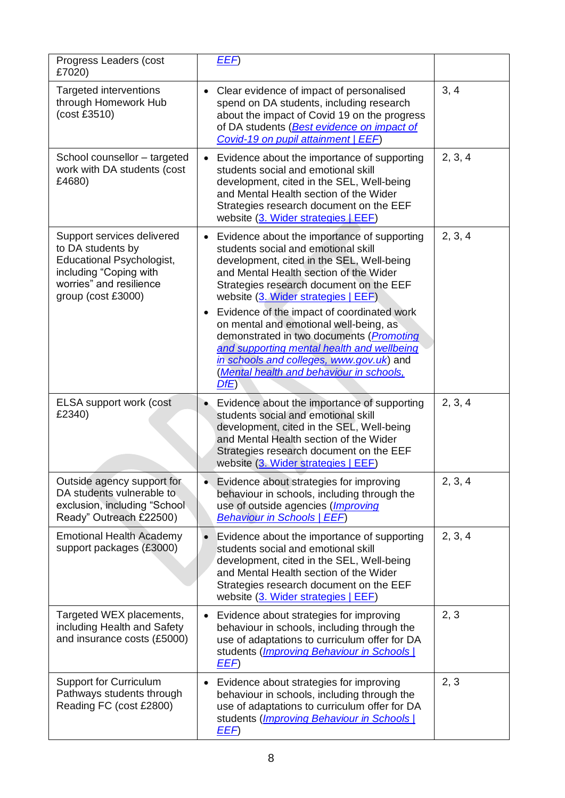| Progress Leaders (cost<br>£7020)                                                                                                                               | EEF)                                                                                                                                                                                                                                                                                                                                                                                                                                                                                                                                                                               |         |
|----------------------------------------------------------------------------------------------------------------------------------------------------------------|------------------------------------------------------------------------------------------------------------------------------------------------------------------------------------------------------------------------------------------------------------------------------------------------------------------------------------------------------------------------------------------------------------------------------------------------------------------------------------------------------------------------------------------------------------------------------------|---------|
| <b>Targeted interventions</b><br>through Homework Hub<br>(cost £3510)                                                                                          | Clear evidence of impact of personalised<br>$\bullet$<br>spend on DA students, including research<br>about the impact of Covid 19 on the progress<br>of DA students (Best evidence on impact of<br>Covid-19 on pupil attainment   EEF)                                                                                                                                                                                                                                                                                                                                             | 3, 4    |
| School counsellor – targeted<br>work with DA students (cost<br>£4680)                                                                                          | Evidence about the importance of supporting<br>$\bullet$<br>students social and emotional skill<br>development, cited in the SEL, Well-being<br>and Mental Health section of the Wider<br>Strategies research document on the EEF<br>website (3. Wider strategies   EEF)                                                                                                                                                                                                                                                                                                           | 2, 3, 4 |
| Support services delivered<br>to DA students by<br><b>Educational Psychologist,</b><br>including "Coping with<br>worries" and resilience<br>group (cost £3000) | Evidence about the importance of supporting<br>$\bullet$<br>students social and emotional skill<br>development, cited in the SEL, Well-being<br>and Mental Health section of the Wider<br>Strategies research document on the EEF<br>website (3. Wider strategies   EEF)<br>Evidence of the impact of coordinated work<br>$\bullet$<br>on mental and emotional well-being, as<br>demonstrated in two documents ( <i>Promoting</i><br>and supporting mental health and wellbeing<br>in schools and colleges, www.gov.uk) and<br>(Mental health and behaviour in schools,<br>$DfE$ ) | 2, 3, 4 |
| ELSA support work (cost<br>£2340)                                                                                                                              | Evidence about the importance of supporting<br>$\bullet$<br>students social and emotional skill<br>development, cited in the SEL, Well-being<br>and Mental Health section of the Wider<br>Strategies research document on the EEF<br>website (3. Wider strategies   EEF)                                                                                                                                                                                                                                                                                                           | 2, 3, 4 |
| Outside agency support for<br>DA students vulnerable to<br>exclusion, including "School<br>Ready" Outreach £22500)                                             | Evidence about strategies for improving<br>behaviour in schools, including through the<br>use of outside agencies (Improving<br><b>Behaviour in Schools   EEF)</b>                                                                                                                                                                                                                                                                                                                                                                                                                 | 2, 3, 4 |
| <b>Emotional Health Academy</b><br>support packages (£3000)                                                                                                    | Evidence about the importance of supporting<br>$\bullet$<br>students social and emotional skill<br>development, cited in the SEL, Well-being<br>and Mental Health section of the Wider<br>Strategies research document on the EEF<br>website (3. Wider strategies   EEF)                                                                                                                                                                                                                                                                                                           | 2, 3, 4 |
| Targeted WEX placements,<br>including Health and Safety<br>and insurance costs (£5000)                                                                         | Evidence about strategies for improving<br>$\bullet$<br>behaviour in schools, including through the<br>use of adaptations to curriculum offer for DA<br>students ( <i>Improving Behaviour in Schools</i>  <br>EEF)                                                                                                                                                                                                                                                                                                                                                                 | 2, 3    |
| <b>Support for Curriculum</b><br>Pathways students through<br>Reading FC (cost £2800)                                                                          | Evidence about strategies for improving<br>$\bullet$<br>behaviour in schools, including through the<br>use of adaptations to curriculum offer for DA<br>students ( <i>Improving Behaviour in Schools</i>  <br>EEF)                                                                                                                                                                                                                                                                                                                                                                 | 2, 3    |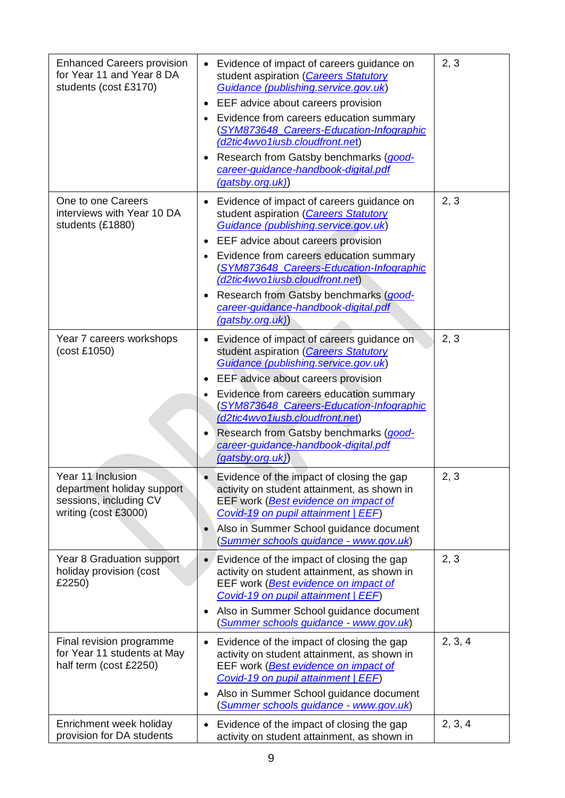| <b>Enhanced Careers provision</b><br>for Year 11 and Year 8 DA<br>students (cost £3170)           | Evidence of impact of careers guidance on<br>student aspiration (Careers Statutory<br>Guidance (publishing.service.gov.uk)<br>EEF advice about careers provision<br>Evidence from careers education summary<br>$\bullet$<br>(SYM873648_Careers-Education-Infographic<br>(d2tic4wvo1iusb.cloudfront.net)<br>Research from Gatsby benchmarks (good-<br>$\bullet$<br>career-guidance-handbook-digital.pdf<br>(gatsby.org.uk) | 2, 3    |
|---------------------------------------------------------------------------------------------------|---------------------------------------------------------------------------------------------------------------------------------------------------------------------------------------------------------------------------------------------------------------------------------------------------------------------------------------------------------------------------------------------------------------------------|---------|
| One to one Careers<br>interviews with Year 10 DA<br>students (£1880)                              | Evidence of impact of careers guidance on<br>$\bullet$<br>student aspiration (Careers Statutory<br>Guidance (publishing.service.gov.uk)<br>EEF advice about careers provision<br>Evidence from careers education summary<br>$\bullet$<br>(SYM873648_Careers-Education-Infographic<br>(d2tic4wvo1iusb.cloudfront.net)<br>Research from Gatsby benchmarks (good-<br>career-guidance-handbook-digital.pdf<br>(gatsby.org.uk) | 2, 3    |
| Year 7 careers workshops<br>(cost £1050)                                                          | Evidence of impact of careers guidance on<br>$\bullet$<br>student aspiration (Careers Statutory<br>Guidance (publishing.service.gov.uk)<br>EEF advice about careers provision<br>Evidence from careers education summary<br>$\bullet$<br>(SYM873648 Careers-Education-Infographic<br>(d2tic4wvo1iusb.cloudfront.net)<br>Research from Gatsby benchmarks (good-<br>career-guidance-handbook-digital.pdf<br>(gatsby.org.uk) | 2, 3    |
| Year 11 Inclusion<br>department holiday support<br>sessions, including CV<br>writing (cost £3000) | Evidence of the impact of closing the gap<br>activity on student attainment, as shown in<br>EEF work (Best evidence on impact of<br>Covid-19 on pupil attainment   EEF)<br>Also in Summer School guidance document<br>$\bullet$<br>(Summer schools guidance - www.gov.uk)                                                                                                                                                 | 2, 3    |
| Year 8 Graduation support<br>holiday provision (cost<br>£2250)                                    | Evidence of the impact of closing the gap<br>$\bullet$<br>activity on student attainment, as shown in<br>EEF work (Best evidence on impact of<br>Covid-19 on pupil attainment   EEF)<br>Also in Summer School guidance document<br>(Summer schools guidance - www.gov.uk)                                                                                                                                                 | 2, 3    |
| Final revision programme<br>for Year 11 students at May<br>half term (cost £2250)                 | Evidence of the impact of closing the gap<br>$\bullet$<br>activity on student attainment, as shown in<br>EEF work (Best evidence on impact of<br>Covid-19 on pupil attainment   EEF)<br>Also in Summer School guidance document<br>$\bullet$<br>(Summer schools guidance - www.gov.uk)                                                                                                                                    | 2, 3, 4 |
| Enrichment week holiday<br>provision for DA students                                              | Evidence of the impact of closing the gap<br>$\bullet$<br>activity on student attainment, as shown in                                                                                                                                                                                                                                                                                                                     | 2, 3, 4 |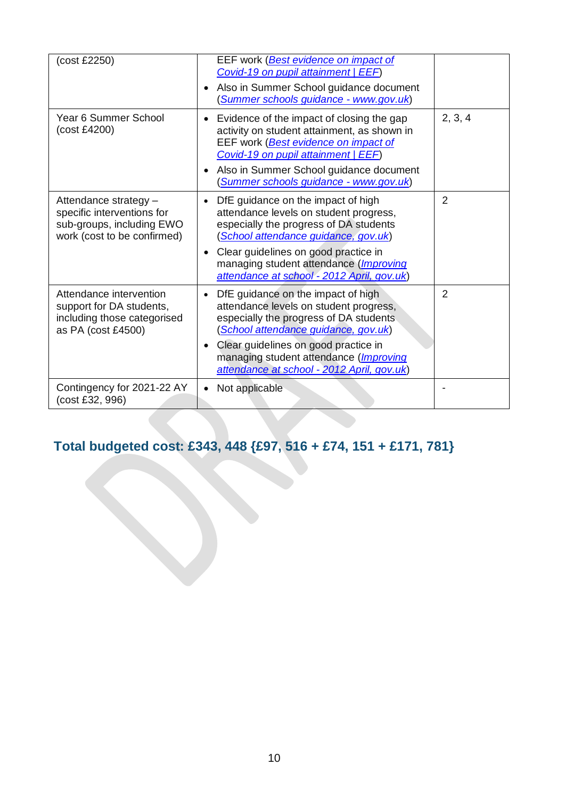| (cost £2250)                                                                                                    | EEF work (Best evidence on impact of<br>Covid-19 on pupil attainment   EEF)<br>Also in Summer School guidance document<br>$\bullet$<br>(Summer schools guidance - www.gov.uk)                                                                                                                                            |                |
|-----------------------------------------------------------------------------------------------------------------|--------------------------------------------------------------------------------------------------------------------------------------------------------------------------------------------------------------------------------------------------------------------------------------------------------------------------|----------------|
| Year 6 Summer School<br>(cost £4200)                                                                            | Evidence of the impact of closing the gap<br>$\bullet$<br>activity on student attainment, as shown in<br>EEF work ( <b>Best evidence on impact of</b><br>Covid-19 on pupil attainment   EEF)<br>Also in Summer School guidance document<br>$\bullet$<br>(Summer schools guidance - www.gov.uk)                           | 2, 3, 4        |
| Attendance strategy -<br>specific interventions for<br>sub-groups, including EWO<br>work (cost to be confirmed) | DfE guidance on the impact of high<br>$\bullet$<br>attendance levels on student progress,<br>especially the progress of DA students<br>(School attendance guidance, gov.uk)<br>Clear guidelines on good practice in<br>$\bullet$<br>managing student attendance (Improving<br>attendance at school - 2012 April, gov.uk) | $\overline{2}$ |
| Attendance intervention<br>support for DA students,<br>including those categorised<br>as PA (cost £4500)        | DfE guidance on the impact of high<br>$\bullet$<br>attendance levels on student progress,<br>especially the progress of DA students<br>(School attendance guidance, gov.uk)<br>Clear guidelines on good practice in<br>$\bullet$<br>managing student attendance (Improving<br>attendance at school - 2012 April, gov.uk) | $\overline{2}$ |
| Contingency for 2021-22 AY<br>(cost £32, 996)                                                                   | Not applicable<br>$\bullet$                                                                                                                                                                                                                                                                                              |                |

# **Total budgeted cost: £343, 448 {£97, 516 + £74, 151 + £171, 781}**